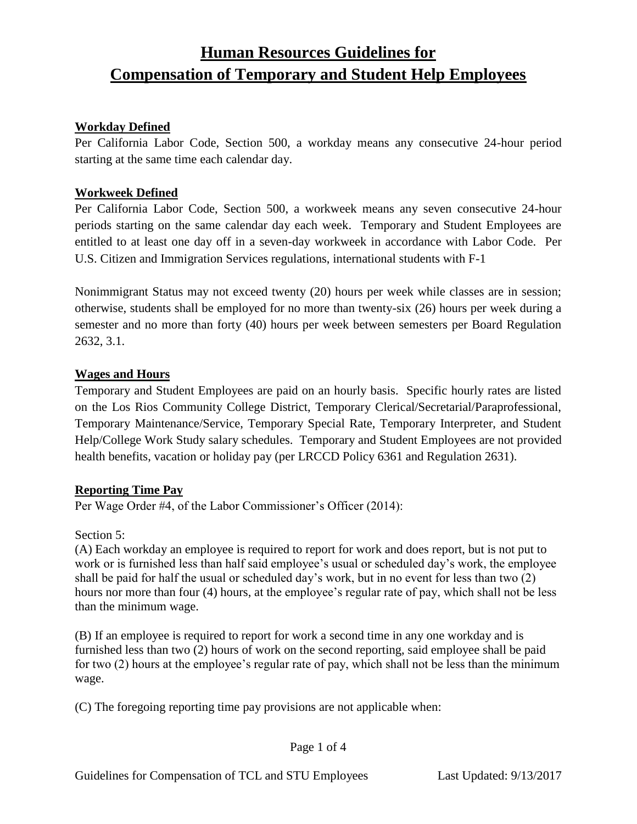# **Human Resources Guidelines for Compensation of Temporary and Student Help Employees**

### **Workday Defined**

Per California Labor Code, Section 500, a workday means any consecutive 24-hour period starting at the same time each calendar day.

### **Workweek Defined**

Per California Labor Code, Section 500, a workweek means any seven consecutive 24-hour periods starting on the same calendar day each week. Temporary and Student Employees are entitled to at least one day off in a seven-day workweek in accordance with Labor Code. Per U.S. Citizen and Immigration Services regulations, international students with F-1

Nonimmigrant Status may not exceed twenty (20) hours per week while classes are in session; otherwise, students shall be employed for no more than twenty-six (26) hours per week during a semester and no more than forty (40) hours per week between semesters per Board Regulation 2632, 3.1.

### **Wages and Hours**

Temporary and Student Employees are paid on an hourly basis. Specific hourly rates are listed on the Los Rios Community College District, Temporary Clerical/Secretarial/Paraprofessional, Temporary Maintenance/Service, Temporary Special Rate, Temporary Interpreter, and Student Help/College Work Study salary schedules. Temporary and Student Employees are not provided health benefits, vacation or holiday pay (per LRCCD Policy 6361 and Regulation 2631).

#### **Reporting Time Pay**

Per Wage Order #4, of the Labor Commissioner's Officer (2014):

#### Section 5:

(A) Each workday an employee is required to report for work and does report, but is not put to work or is furnished less than half said employee's usual or scheduled day's work, the employee shall be paid for half the usual or scheduled day's work, but in no event for less than two (2) hours nor more than four (4) hours, at the employee's regular rate of pay, which shall not be less than the minimum wage.

(B) If an employee is required to report for work a second time in any one workday and is furnished less than two (2) hours of work on the second reporting, said employee shall be paid for two (2) hours at the employee's regular rate of pay, which shall not be less than the minimum wage.

(C) The foregoing reporting time pay provisions are not applicable when: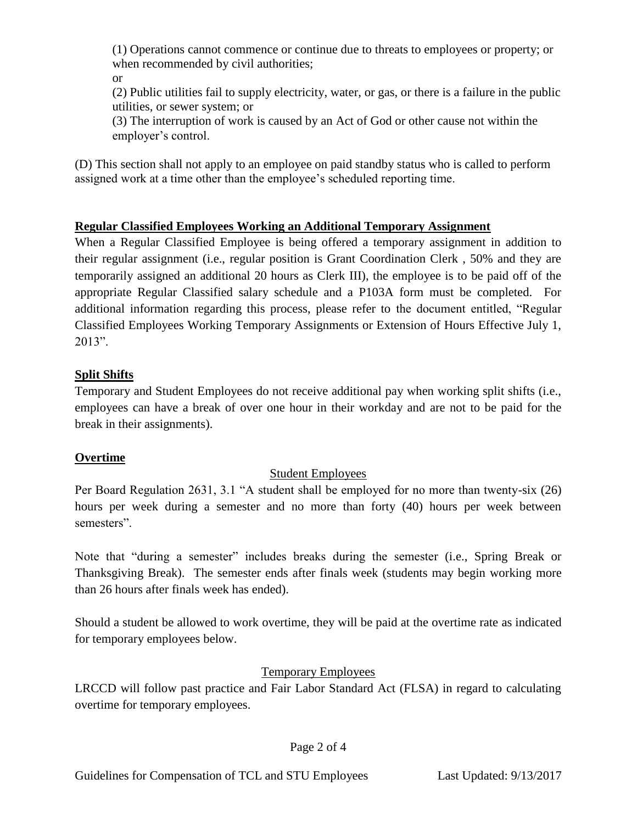(1) Operations cannot commence or continue due to threats to employees or property; or when recommended by civil authorities;

or

(2) Public utilities fail to supply electricity, water, or gas, or there is a failure in the public utilities, or sewer system; or

(3) The interruption of work is caused by an Act of God or other cause not within the employer's control.

(D) This section shall not apply to an employee on paid standby status who is called to perform assigned work at a time other than the employee's scheduled reporting time.

### **Regular Classified Employees Working an Additional Temporary Assignment**

When a Regular Classified Employee is being offered a temporary assignment in addition to their regular assignment (i.e., regular position is Grant Coordination Clerk , 50% and they are temporarily assigned an additional 20 hours as Clerk III), the employee is to be paid off of the appropriate Regular Classified salary schedule and a P103A form must be completed. For additional information regarding this process, please refer to the document entitled, "Regular Classified Employees Working Temporary Assignments or Extension of Hours Effective July 1, 2013".

## **Split Shifts**

Temporary and Student Employees do not receive additional pay when working split shifts (i.e., employees can have a break of over one hour in their workday and are not to be paid for the break in their assignments).

# **Overtime**

# Student Employees

Per Board Regulation 2631, 3.1 "A student shall be employed for no more than twenty-six (26) hours per week during a semester and no more than forty (40) hours per week between semesters".

Note that "during a semester" includes breaks during the semester (i.e., Spring Break or Thanksgiving Break). The semester ends after finals week (students may begin working more than 26 hours after finals week has ended).

Should a student be allowed to work overtime, they will be paid at the overtime rate as indicated for temporary employees below.

# Temporary Employees

LRCCD will follow past practice and Fair Labor Standard Act (FLSA) in regard to calculating overtime for temporary employees.

### Page 2 of 4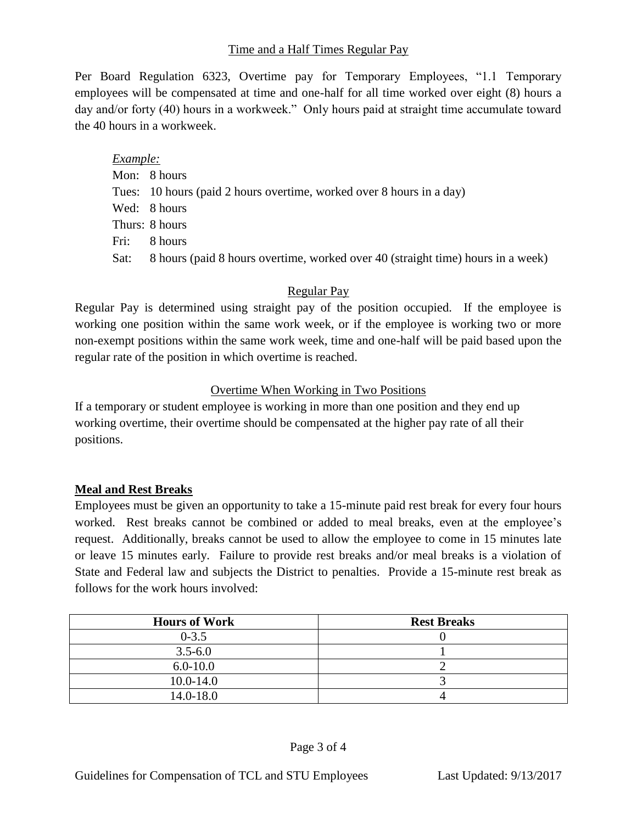### Time and a Half Times Regular Pay

Per Board Regulation 6323, Overtime pay for Temporary Employees, "1.1 Temporary employees will be compensated at time and one-half for all time worked over eight (8) hours a day and/or forty (40) hours in a workweek." Only hours paid at straight time accumulate toward the 40 hours in a workweek.

*Example:* Mon: 8 hours Tues: 10 hours (paid 2 hours overtime, worked over 8 hours in a day) Wed: 8 hours Thurs: 8 hours Fri: 8 hours Sat: 8 hours (paid 8 hours overtime, worked over 40 (straight time) hours in a week)

### Regular Pay

Regular Pay is determined using straight pay of the position occupied. If the employee is working one position within the same work week, or if the employee is working two or more non-exempt positions within the same work week, time and one-half will be paid based upon the regular rate of the position in which overtime is reached.

### Overtime When Working in Two Positions

If a temporary or student employee is working in more than one position and they end up working overtime, their overtime should be compensated at the higher pay rate of all their positions.

#### **Meal and Rest Breaks**

Employees must be given an opportunity to take a 15-minute paid rest break for every four hours worked. Rest breaks cannot be combined or added to meal breaks, even at the employee's request. Additionally, breaks cannot be used to allow the employee to come in 15 minutes late or leave 15 minutes early. Failure to provide rest breaks and/or meal breaks is a violation of State and Federal law and subjects the District to penalties. Provide a 15-minute rest break as follows for the work hours involved:

| <b>Hours of Work</b> | <b>Rest Breaks</b> |
|----------------------|--------------------|
| $0 - 3.5$            |                    |
| $3.5 - 6.0$          |                    |
| $6.0 - 10.0$         |                    |
| $10.0 - 14.0$        |                    |
| 14.0-18.0            |                    |